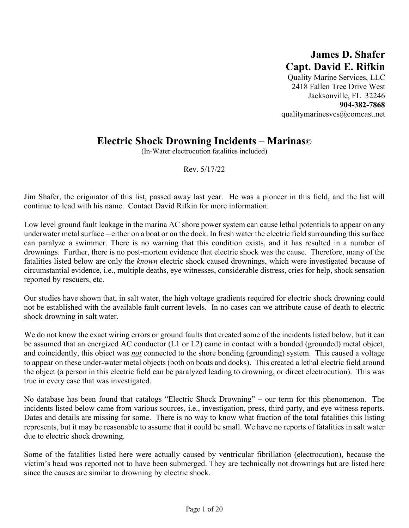## **James D. Shafer Capt. David E. Rifkin**

Quality Marine Services, LLC 2418 Fallen Tree Drive West Jacksonville, FL 32246 **904-382-7868**  qualitymarinesvcs@comcast.net

## **Electric Shock Drowning Incidents – Marinas©**

(In-Water electrocution fatalities included)

Rev. 5/17/22

Jim Shafer, the originator of this list, passed away last year. He was a pioneer in this field, and the list will continue to lead with his name. Contact David Rifkin for more information.

Low level ground fault leakage in the marina AC shore power system can cause lethal potentials to appear on any underwater metal surface – either on a boat or on the dock. In fresh water the electric field surrounding this surface can paralyze a swimmer. There is no warning that this condition exists, and it has resulted in a number of drownings. Further, there is no post-mortem evidence that electric shock was the cause. Therefore, many of the fatalities listed below are only the *known* electric shock caused drownings, which were investigated because of circumstantial evidence, i.e., multiple deaths, eye witnesses, considerable distress, cries for help, shock sensation reported by rescuers, etc.

Our studies have shown that, in salt water, the high voltage gradients required for electric shock drowning could not be established with the available fault current levels. In no cases can we attribute cause of death to electric shock drowning in salt water.

We do not know the exact wiring errors or ground faults that created some of the incidents listed below, but it can be assumed that an energized AC conductor (L1 or L2) came in contact with a bonded (grounded) metal object, and coincidently, this object was *not* connected to the shore bonding (grounding) system. This caused a voltage to appear on these under-water metal objects (both on boats and docks). This created a lethal electric field around the object (a person in this electric field can be paralyzed leading to drowning, or direct electrocution). This was true in every case that was investigated.

No database has been found that catalogs "Electric Shock Drowning" – our term for this phenomenon. The incidents listed below came from various sources, i.e., investigation, press, third party, and eye witness reports. Dates and details are missing for some. There is no way to know what fraction of the total fatalities this listing represents, but it may be reasonable to assume that it could be small. We have no reports of fatalities in salt water due to electric shock drowning.

Some of the fatalities listed here were actually caused by ventricular fibrillation (electrocution), because the victim's head was reported not to have been submerged. They are technically not drownings but are listed here since the causes are similar to drowning by electric shock.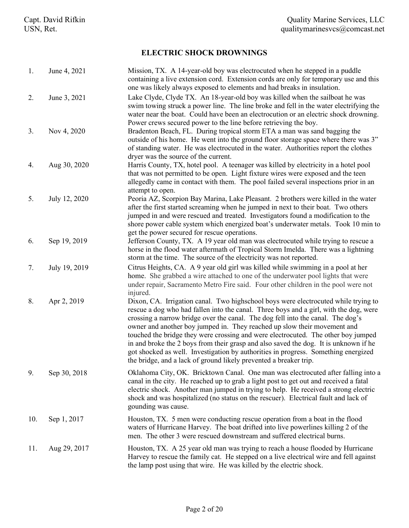## **ELECTRIC SHOCK DROWNINGS**

| 1.  | June 4, 2021  | Mission, TX. A 14-year-old boy was electrocuted when he stepped in a puddle<br>containing a live extension cord. Extension cords are only for temporary use and this<br>one was likely always exposed to elements and had breaks in insulation.                                                                                                                                                                                                                                                                                                                                                                                                                                    |
|-----|---------------|------------------------------------------------------------------------------------------------------------------------------------------------------------------------------------------------------------------------------------------------------------------------------------------------------------------------------------------------------------------------------------------------------------------------------------------------------------------------------------------------------------------------------------------------------------------------------------------------------------------------------------------------------------------------------------|
| 2.  | June 3, 2021  | Lake Clyde, Clyde TX. An 18-year-old boy was killed when the sailboat he was<br>swim towing struck a power line. The line broke and fell in the water electrifying the<br>water near the boat. Could have been an electrocution or an electric shock drowning.<br>Power crews secured power to the line before retrieving the boy.                                                                                                                                                                                                                                                                                                                                                 |
| 3.  | Nov 4, 2020   | Bradenton Beach, FL. During tropical storm ETA a man was sand bagging the<br>outside of his home. He went into the ground floor storage space where there was 3"<br>of standing water. He was electrocuted in the water. Authorities report the clothes<br>dryer was the source of the current.                                                                                                                                                                                                                                                                                                                                                                                    |
| 4.  | Aug 30, 2020  | Harris County, TX, hotel pool. A teenager was killed by electricity in a hotel pool<br>that was not permitted to be open. Light fixture wires were exposed and the teen<br>allegedly came in contact with them. The pool failed several inspections prior in an<br>attempt to open.                                                                                                                                                                                                                                                                                                                                                                                                |
| 5.  | July 12, 2020 | Peoria AZ, Scorpion Bay Marina, Lake Pleasant. 2 brothers were killed in the water<br>after the first started screaming when he jumped in next to their boat. Two others<br>jumped in and were rescued and treated. Investigators found a modification to the<br>shore power cable system which energized boat's underwater metals. Took 10 min to<br>get the power secured for rescue operations.                                                                                                                                                                                                                                                                                 |
| 6.  | Sep 19, 2019  | Jefferson County, TX. A 19 year old man was electrocuted while trying to rescue a<br>horse in the flood water aftermath of Tropical Storm Imelda. There was a lightning<br>storm at the time. The source of the electricity was not reported.                                                                                                                                                                                                                                                                                                                                                                                                                                      |
| 7.  | July 19, 2019 | Citrus Heights, CA. A 9 year old girl was killed while swimming in a pool at her<br>home. She grabbed a wire attached to one of the underwater pool lights that were<br>under repair, Sacramento Metro Fire said. Four other children in the pool were not<br>injured.                                                                                                                                                                                                                                                                                                                                                                                                             |
| 8.  | Apr 2, 2019   | Dixon, CA. Irrigation canal. Two highschool boys were electrocuted while trying to<br>rescue a dog who had fallen into the canal. Three boys and a girl, with the dog, were<br>crossing a narrow bridge over the canal. The dog fell into the canal. The dog's<br>owner and another boy jumped in. They reached up slow their movement and<br>touched the bridge they were crossing and were electrocuted. The other boy jumped<br>in and broke the 2 boys from their grasp and also saved the dog. It is unknown if he<br>got shocked as well. Investigation by authorities in progress. Something energized<br>the bridge, and a lack of ground likely prevented a breaker trip. |
| 9.  | Sep 30, 2018  | Oklahoma City, OK. Bricktown Canal. One man was electrocuted after falling into a<br>canal in the city. He reached up to grab a light post to get out and received a fatal<br>electric shock. Another man jumped in trying to help. He received a strong electric<br>shock and was hospitalized (no status on the rescuer). Electrical fault and lack of<br>gounding was cause.                                                                                                                                                                                                                                                                                                    |
| 10. | Sep 1, 2017   | Houston, TX. 5 men were conducting rescue operation from a boat in the flood<br>waters of Hurricane Harvey. The boat drifted into live powerlines killing 2 of the<br>men. The other 3 were rescued downstream and suffered electrical burns.                                                                                                                                                                                                                                                                                                                                                                                                                                      |
| 11. | Aug 29, 2017  | Houston, TX. A 25 year old man was trying to reach a house flooded by Hurricane<br>Harvey to rescue the family cat. He stepped on a live electrical wire and fell against<br>the lamp post using that wire. He was killed by the electric shock.                                                                                                                                                                                                                                                                                                                                                                                                                                   |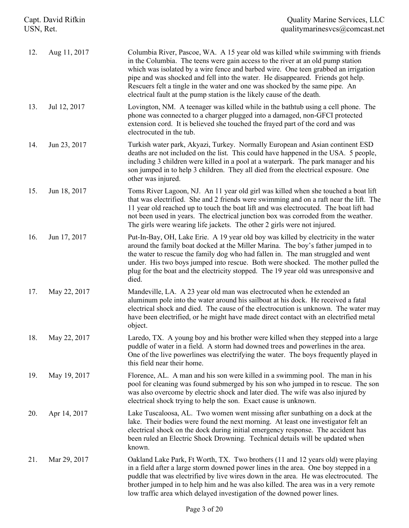| Capt. David Rifkin<br>USN, Ret. |              | <b>Quality Marine Services, LLC</b><br>qualitymarinesvcs@comcast.net                                                                                                                                                                                                                                                                                                                                                                                                                                   |
|---------------------------------|--------------|--------------------------------------------------------------------------------------------------------------------------------------------------------------------------------------------------------------------------------------------------------------------------------------------------------------------------------------------------------------------------------------------------------------------------------------------------------------------------------------------------------|
| 12.                             | Aug 11, 2017 | Columbia River, Pascoe, WA. A 15 year old was killed while swimming with friends<br>in the Columbia. The teens were gain access to the river at an old pump station<br>which was isolated by a wire fence and barbed wire. One teen grabbed an irrigation<br>pipe and was shocked and fell into the water. He disappeared. Friends got help.<br>Rescuers felt a tingle in the water and one was shocked by the same pipe. An<br>electrical fault at the pump station is the likely cause of the death. |
| 13.                             | Jul 12, 2017 | Lovington, NM. A teenager was killed while in the bathtub using a cell phone. The<br>phone was connected to a charger plugged into a damaged, non-GFCI protected<br>extension cord. It is believed she touched the frayed part of the cord and was<br>electrocuted in the tub.                                                                                                                                                                                                                         |
| 14.                             | Jun 23, 2017 | Turkish water park, Akyazi, Turkey. Normally European and Asian continent ESD<br>deaths are not included on the list. This could have happened in the USA. 5 people,<br>including 3 children were killed in a pool at a waterpark. The park manager and his<br>son jumped in to help 3 children. They all died from the electrical exposure. One<br>other was injured.                                                                                                                                 |
| 15.                             | Jun 18, 2017 | Toms River Lagoon, NJ. An 11 year old girl was killed when she touched a boat lift<br>that was electrified. She and 2 friends were swimming and on a raft near the lift. The<br>11 year old reached up to touch the boat lift and was electrocuted. The boat lift had<br>not been used in years. The electrical junction box was corroded from the weather.<br>The girls were wearing life jackets. The other 2 girls were not injured.                                                                |
| 16.                             | Jun 17, 2017 | Put-In-Bay, OH, Lake Erie. A 19 year old boy was killed by electricity in the water<br>around the family boat docked at the Miller Marina. The boy's father jumped in to<br>the water to rescue the family dog who had fallen in. The man struggled and went<br>under. His two boys jumped into rescue. Both were shocked. The mother pulled the<br>plug for the boat and the electricity stopped. The 19 year old was unresponsive and<br>died.                                                       |
| 17.                             | May 22, 2017 | Mandeville, LA. A 23 year old man was electrocuted when he extended an<br>aluminum pole into the water around his sailboat at his dock. He received a fatal<br>electrical shock and died. The cause of the electrocution is unknown. The water may<br>have been electrified, or he might have made direct contact with an electrified metal<br>object.                                                                                                                                                 |
| 18.                             | May 22, 2017 | Laredo, TX. A young boy and his brother were killed when they stepped into a large<br>puddle of water in a field. A storm had downed trees and powerlines in the area.<br>One of the live powerlines was electrifying the water. The boys frequently played in<br>this field near their home.                                                                                                                                                                                                          |
| 19.                             | May 19, 2017 | Florence, AL. A man and his son were killed in a swimming pool. The man in his<br>pool for cleaning was found submerged by his son who jumped in to rescue. The son<br>was also overcome by electric shock and later died. The wife was also injured by<br>electrical shock trying to help the son. Exact cause is unknown.                                                                                                                                                                            |
| 20.                             | Apr 14, 2017 | Lake Tuscaloosa, AL. Two women went missing after sunbathing on a dock at the<br>lake. Their bodies were found the next morning. At least one investigator felt an<br>electrical shock on the dock during initial emergency response. The accident has<br>been ruled an Electric Shock Drowning. Technical details will be updated when<br>known.                                                                                                                                                      |
| 21.                             | Mar 29, 2017 | Oakland Lake Park, Ft Worth, TX. Two brothers (11 and 12 years old) were playing<br>in a field after a large storm downed power lines in the area. One boy stepped in a<br>puddle that was electrified by live wires down in the area. He was electrocuted. The<br>brother jumped in to help him and he was also killed. The area was in a very remote<br>low traffic area which delayed investigation of the downed power lines.                                                                      |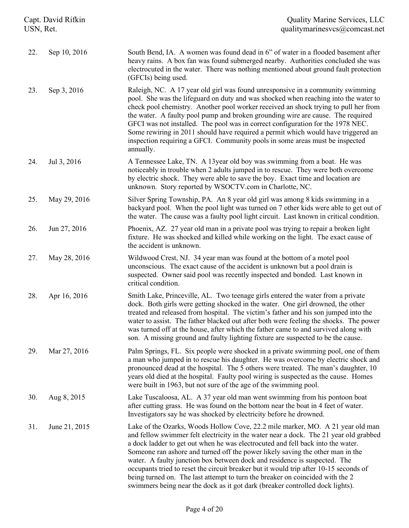| Capt. David Rifkin<br>USN, Ret. |               | <b>Quality Marine Services, LLC</b><br>qualitymarinesvcs@comcast.net                                                                                                                                                                                                                                                                                                                                                                                                                                                                                                                                                                                                                 |  |
|---------------------------------|---------------|--------------------------------------------------------------------------------------------------------------------------------------------------------------------------------------------------------------------------------------------------------------------------------------------------------------------------------------------------------------------------------------------------------------------------------------------------------------------------------------------------------------------------------------------------------------------------------------------------------------------------------------------------------------------------------------|--|
| 22.                             | Sep 10, 2016  | South Bend, IA. A women was found dead in 6" of water in a flooded basement after<br>heavy rains. A box fan was found submerged nearby. Authorities concluded she was<br>electrocuted in the water. There was nothing mentioned about ground fault protection<br>(GFCIs) being used.                                                                                                                                                                                                                                                                                                                                                                                                 |  |
| 23.                             | Sep 3, 2016   | Raleigh, NC. A 17 year old girl was found unresponsive in a community swimming<br>pool. She was the lifeguard on duty and was shocked when reaching into the water to<br>check pool chemistry. Another pool worker received an shock trying to pull her from<br>the water. A faulty pool pump and broken grounding wire are cause. The required<br>GFCI was not installed. The pool was in correct configuration for the 1978 NEC.<br>Some rewiring in 2011 should have required a permit which would have triggered an<br>inspection requiring a GFCI. Community pools in some areas must be inspected<br>annually.                                                                 |  |
| 24.                             | Jul 3, 2016   | A Tennessee Lake, TN. A 13year old boy was swimming from a boat. He was<br>noticeably in trouble when 2 adults jumped in to rescue. They were both overcome<br>by electric shock. They were able to save the boy. Exact time and location are<br>unknown. Story reported by WSOCTV.com in Charlotte, NC.                                                                                                                                                                                                                                                                                                                                                                             |  |
| 25.                             | May 29, 2016  | Silver Spring Township, PA. An 8 year old girl was among 8 kids swimming in a<br>backyard pool. When the pool light was turned on 7 other kids were able to get out of<br>the water. The cause was a faulty pool light circuit. Last known in critical condition.                                                                                                                                                                                                                                                                                                                                                                                                                    |  |
| 26.                             | Jun 27, 2016  | Phoenix, AZ. 27 year old man in a private pool was trying to repair a broken light<br>fixture. He was shocked and killed while working on the light. The exact cause of<br>the accident is unknown.                                                                                                                                                                                                                                                                                                                                                                                                                                                                                  |  |
| 27.                             | May 28, 2016  | Wildwood Crest, NJ. 34 year man was found at the bottom of a motel pool<br>unconscious. The exact cause of the accident is unknown but a pool drain is<br>suspected. Owner said pool was recently inspected and bonded. Last known in<br>critical condition.                                                                                                                                                                                                                                                                                                                                                                                                                         |  |
| 28.                             | Apr 16, 2016  | Smith Lake, Princeville, AL. Two teenage girls entered the water from a private<br>dock. Both girls were getting shocked in the water. One girl drowned, the other<br>treated and released from hospital. The victim's father and his son jumped into the<br>water to assist. The father blacked out after both were feeling the shocks. The power<br>was turned off at the house, after which the father came to and survived along with<br>son. A missing ground and faulty lighting fixture are suspected to be the cause.                                                                                                                                                        |  |
| 29.                             | Mar 27, 2016  | Palm Springs, FL. Six people were shocked in a private swimming pool, one of them<br>a man who jumped in to rescue his daughter. He was overcome by electric shock and<br>pronounced dead at the hospital. The 5 others were treated. The man's daughter, 10<br>years old died at the hospital. Faulty pool wiring is suspected as the cause. Homes<br>were built in 1963, but not sure of the age of the swimming pool.                                                                                                                                                                                                                                                             |  |
| 30.                             | Aug 8, 2015   | Lake Tuscaloosa, AL. A 37 year old man went swimming from his pontoon boat<br>after cutting grass. He was found on the bottom near the boat in 4 feet of water.<br>Investigators say he was shocked by electricity before he drowned.                                                                                                                                                                                                                                                                                                                                                                                                                                                |  |
| 31.                             | June 21, 2015 | Lake of the Ozarks, Woods Hollow Cove, 22.2 mile marker, MO. A 21 year old man<br>and fellow swimmer felt electricity in the water near a dock. The 21 year old grabbed<br>a dock ladder to get out when he was electrocuted and fell back into the water.<br>Someone ran ashore and turned off the power likely saving the other man in the<br>water. A faulty junction box between dock and residence is suspected. The<br>occupants tried to reset the circuit breaker but it would trip after 10-15 seconds of<br>being turned on. The last attempt to turn the breaker on coincided with the 2<br>swimmers being near the dock as it got dark (breaker controlled dock lights). |  |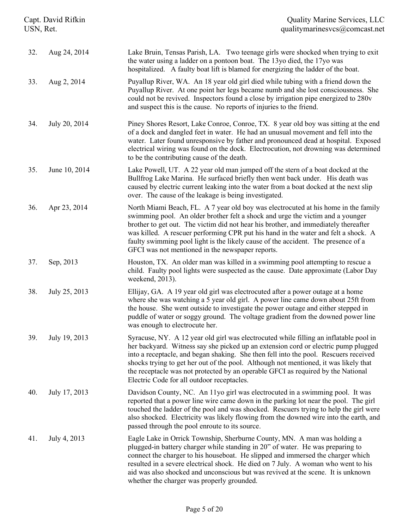| Capt. David Rifkin<br>USN, Ret. |               | <b>Quality Marine Services, LLC</b><br>qualitymarinesvcs@comcast.net                                                                                                                                                                                                                                                                                                                                                                                                                          |  |
|---------------------------------|---------------|-----------------------------------------------------------------------------------------------------------------------------------------------------------------------------------------------------------------------------------------------------------------------------------------------------------------------------------------------------------------------------------------------------------------------------------------------------------------------------------------------|--|
| 32.                             | Aug 24, 2014  | Lake Bruin, Tensas Parish, LA. Two teenage girls were shocked when trying to exit<br>the water using a ladder on a pontoon boat. The 13yo died, the 17yo was<br>hospitalized. A faulty boat lift is blamed for energizing the ladder of the boat.                                                                                                                                                                                                                                             |  |
| 33.                             | Aug 2, 2014   | Puyallup River, WA. An 18 year old girl died while tubing with a friend down the<br>Puyallup River. At one point her legs became numb and she lost consciousness. She<br>could not be revived. Inspectors found a close by irrigation pipe energized to 280v<br>and suspect this is the cause. No reports of injuries to the friend.                                                                                                                                                          |  |
| 34.                             | July 20, 2014 | Piney Shores Resort, Lake Conroe, Conroe, TX. 8 year old boy was sitting at the end<br>of a dock and dangled feet in water. He had an unusual movement and fell into the<br>water. Later found unresponsive by father and pronounced dead at hospital. Exposed<br>electrical wiring was found on the dock. Electrocution, not drowning was determined<br>to be the contributing cause of the death.                                                                                           |  |
| 35.                             | June 10, 2014 | Lake Powell, UT. A 22 year old man jumped off the stern of a boat docked at the<br>Bullfrog Lake Marina. He surfaced briefly then went back under. His death was<br>caused by electric current leaking into the water from a boat docked at the next slip<br>over. The cause of the leakage is being investigated.                                                                                                                                                                            |  |
| 36.                             | Apr 23, 2014  | North Miami Beach, FL. A 7 year old boy was electrocuted at his home in the family<br>swimming pool. An older brother felt a shock and urge the victim and a younger<br>brother to get out. The victim did not hear his brother, and immediately thereafter<br>was killed. A rescuer performing CPR put his hand in the water and felt a shock. A<br>faulty swimming pool light is the likely cause of the accident. The presence of a<br>GFCI was not mentioned in the newspaper reports.    |  |
| 37.                             | Sep, 2013     | Houston, TX. An older man was killed in a swimming pool attempting to rescue a<br>child. Faulty pool lights were suspected as the cause. Date approximate (Labor Day<br>weekend, 2013).                                                                                                                                                                                                                                                                                                       |  |
| 38.                             | July 25, 2013 | Ellijay, GA. A 19 year old girl was electrocuted after a power outage at a home<br>where she was watching a 5 year old girl. A power line came down about 25ft from<br>the house. She went outside to investigate the power outage and either stepped in<br>puddle of water or soggy ground. The voltage gradient from the downed power line<br>was enough to electrocute her.                                                                                                                |  |
| 39.                             | July 19, 2013 | Syracuse, NY. A 12 year old girl was electrocuted while filling an inflatable pool in<br>her backyard. Witness say she picked up an extension cord or electric pump plugged<br>into a receptacle, and began shaking. She then fell into the pool. Rescuers received<br>shocks trying to get her out of the pool. Although not mentioned, it was likely that<br>the receptacle was not protected by an operable GFCI as required by the National<br>Electric Code for all outdoor receptacles. |  |
| 40.                             | July 17, 2013 | Davidson County, NC. An 11yo girl was electrocuted in a swimming pool. It was<br>reported that a power line wire came down in the parking lot near the pool. The girl<br>touched the ladder of the pool and was shocked. Rescuers trying to help the girl were<br>also shocked. Electricity was likely flowing from the downed wire into the earth, and<br>passed through the pool enroute to its source.                                                                                     |  |
| 41.                             | July 4, 2013  | Eagle Lake in Orrick Township, Sherburne County, MN. A man was holding a<br>plugged-in battery charger while standing in 20" of water. He was preparing to<br>connect the charger to his houseboat. He slipped and immersed the charger which<br>resulted in a severe electrical shock. He died on 7 July. A woman who went to his<br>aid was also shocked and unconscious but was revived at the scene. It is unknown<br>whether the charger was properly grounded.                          |  |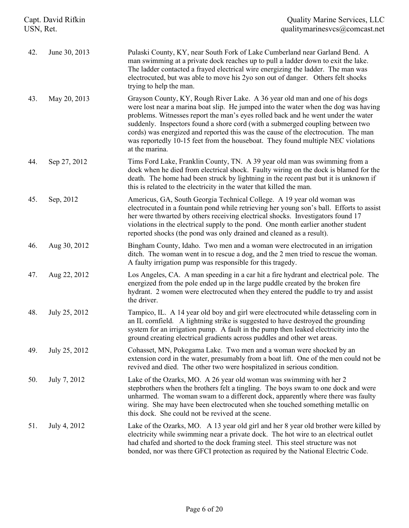| Capt. David Rifkin<br>USN, Ret. |               | <b>Quality Marine Services, LLC</b><br>qualitymarinesvcs@comcast.net                                                                                                                                                                                                                                                                                                                                                                                                                                                                  |  |
|---------------------------------|---------------|---------------------------------------------------------------------------------------------------------------------------------------------------------------------------------------------------------------------------------------------------------------------------------------------------------------------------------------------------------------------------------------------------------------------------------------------------------------------------------------------------------------------------------------|--|
| 42.                             | June 30, 2013 | Pulaski County, KY, near South Fork of Lake Cumberland near Garland Bend. A<br>man swimming at a private dock reaches up to pull a ladder down to exit the lake.<br>The ladder contacted a frayed electrical wire energizing the ladder. The man was<br>electrocuted, but was able to move his 2yo son out of danger. Others felt shocks<br>trying to help the man.                                                                                                                                                                   |  |
| 43.                             | May 20, 2013  | Grayson County, KY, Rough River Lake. A 36 year old man and one of his dogs<br>were lost near a marina boat slip. He jumped into the water when the dog was having<br>problems. Witnesses report the man's eyes rolled back and he went under the water<br>suddenly. Inspectors found a shore cord (with a submerged coupling between two<br>cords) was energized and reported this was the cause of the electrocution. The man<br>was reportedly 10-15 feet from the houseboat. They found multiple NEC violations<br>at the marina. |  |
| 44.                             | Sep 27, 2012  | Tims Ford Lake, Franklin County, TN. A 39 year old man was swimming from a<br>dock when he died from electrical shock. Faulty wiring on the dock is blamed for the<br>death. The home had been struck by lightning in the recent past but it is unknown if<br>this is related to the electricity in the water that killed the man.                                                                                                                                                                                                    |  |
| 45.                             | Sep, 2012     | Americus, GA, South Georgia Technical College. A 19 year old woman was<br>electrocuted in a fountain pond while retrieving her young son's ball. Efforts to assist<br>her were thwarted by others receiving electrical shocks. Investigators found 17<br>violations in the electrical supply to the pond. One month earlier another student<br>reported shocks (the pond was only drained and cleaned as a result).                                                                                                                   |  |
| 46.                             | Aug 30, 2012  | Bingham County, Idaho. Two men and a woman were electrocuted in an irrigation<br>ditch. The woman went in to rescue a dog, and the 2 men tried to rescue the woman.<br>A faulty irrigation pump was responsible for this tragedy.                                                                                                                                                                                                                                                                                                     |  |
| 47.                             | Aug 22, 2012  | Los Angeles, CA. A man speeding in a car hit a fire hydrant and electrical pole. The<br>energized from the pole ended up in the large puddle created by the broken fire<br>hydrant. 2 women were electrocuted when they entered the puddle to try and assist<br>the driver.                                                                                                                                                                                                                                                           |  |
| 48.                             | July 25, 2012 | Tampico, IL. A 14 year old boy and girl were electrocuted while detasseling corn in<br>an IL cornfield. A lightning strike is suggested to have destroyed the grounding<br>system for an irrigation pump. A fault in the pump then leaked electricity into the<br>ground creating electrical gradients across puddles and other wet areas.                                                                                                                                                                                            |  |
| 49.                             | July 25, 2012 | Cohasset, MN, Pokegama Lake. Two men and a woman were shocked by an<br>extension cord in the water, presumably from a boat lift. One of the men could not be<br>revived and died. The other two were hospitalized in serious condition.                                                                                                                                                                                                                                                                                               |  |
| 50.                             | July 7, 2012  | Lake of the Ozarks, MO. A 26 year old woman was swimming with her 2<br>stepbrothers when the brothers felt a tingling. The boys swam to one dock and were<br>unharmed. The woman swam to a different dock, apparently where there was faulty<br>wiring. She may have been electrocuted when she touched something metallic on<br>this dock. She could not be revived at the scene.                                                                                                                                                    |  |
| 51.                             | July 4, 2012  | Lake of the Ozarks, MO. A 13 year old girl and her 8 year old brother were killed by<br>electricity while swimming near a private dock. The hot wire to an electrical outlet<br>had chafed and shorted to the dock framing steel. This steel structure was not<br>bonded, nor was there GFCI protection as required by the National Electric Code.                                                                                                                                                                                    |  |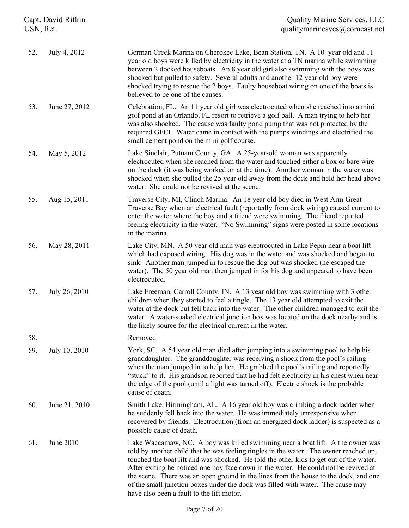| Capt. David Rifkin<br>USN, Ret. |               | <b>Quality Marine Services, LLC</b><br>qualitymarinesvcs@comcast.net                                                                                                                                                                                                                                                                                                                                                                                                                                                                                                             |  |
|---------------------------------|---------------|----------------------------------------------------------------------------------------------------------------------------------------------------------------------------------------------------------------------------------------------------------------------------------------------------------------------------------------------------------------------------------------------------------------------------------------------------------------------------------------------------------------------------------------------------------------------------------|--|
| 52.                             | July 4, 2012  | German Creek Marina on Cherokee Lake, Bean Station, TN. A 10 year old and 11<br>year old boys were killed by electricity in the water at a TN marina while swimming<br>between 2 docked houseboats. An 8 year old girl also swimming with the boys was<br>shocked but pulled to safety. Several adults and another 12 year old boy were<br>shocked trying to rescue the 2 boys. Faulty houseboat wiring on one of the boats is<br>believed to be one of the causes.                                                                                                              |  |
| 53.                             | June 27, 2012 | Celebration, FL. An 11 year old girl was electrocuted when she reached into a mini<br>golf pond at an Orlando, FL resort to retrieve a golf ball. A man trying to help her<br>was also shocked. The cause was faulty pond pump that was not protected by the<br>required GFCI. Water came in contact with the pumps windings and electrified the<br>small cement pond on the mini golf course.                                                                                                                                                                                   |  |
| 54.                             | May 5, 2012   | Lake Sinclair, Putnam County, GA. A 25-year-old woman was apparently<br>electrocuted when she reached from the water and touched either a box or bare wire<br>on the dock (it was being worked on at the time). Another woman in the water was<br>shocked when she pulled the 25 year old away from the dock and held her head above<br>water. She could not be revived at the scene.                                                                                                                                                                                            |  |
| 55.                             | Aug 15, 2011  | Traverse City, MI, Clinch Marina. An 18 year old boy died in West Arm Great<br>Traverse Bay when an electrical fault (reportedly from dock wiring) caused current to<br>enter the water where the boy and a friend were swimming. The friend reported<br>feeling electricity in the water. "No Swimming" signs were posted in some locations<br>in the marina.                                                                                                                                                                                                                   |  |
| 56.                             | May 28, 2011  | Lake City, MN. A 50 year old man was electrocuted in Lake Pepin near a boat lift<br>which had exposed wiring. His dog was in the water and was shocked and began to<br>sink. Another man jumped in to rescue the dog but was shocked (he escaped the<br>water). The 50 year old man then jumped in for his dog and appeared to have been<br>electrocuted.                                                                                                                                                                                                                        |  |
| 57.                             | July 26, 2010 | Lake Freeman, Carroll County, IN. A 13 year old boy was swimming with 3 other<br>children when they started to feel a tingle. The 13 year old attempted to exit the<br>water at the dock but fell back into the water. The other children managed to exit the<br>water. A water-soaked electrical junction box was located on the dock nearby and is<br>the likely source for the electrical current in the water.                                                                                                                                                               |  |
| 58.                             |               | Removed.                                                                                                                                                                                                                                                                                                                                                                                                                                                                                                                                                                         |  |
| 59.                             | July 10, 2010 | York, SC. A 54 year old man died after jumping into a swimming pool to help his<br>granddaughter. The granddaughter was receiving a shock from the pool's railing<br>when the man jumped in to help her. He grabbed the pool's railing and reportedly<br>"stuck" to it. His grandson reported that he had felt electricity in his chest when near<br>the edge of the pool (until a light was turned off). Electric shock is the probable<br>cause of death.                                                                                                                      |  |
| 60.                             | June 21, 2010 | Smith Lake, Birmingham, AL. A 16 year old boy was climbing a dock ladder when<br>he suddenly fell back into the water. He was immediately unresponsive when<br>recovered by friends. Electrocution (from an energized dock ladder) is suspected as a<br>possible cause of death.                                                                                                                                                                                                                                                                                                 |  |
| 61.                             | June 2010     | Lake Waccamaw, NC. A boy was killed swimming near a boat lift. A the owner was<br>told by another child that he was feeling tingles in the water. The owner reached up,<br>touched the boat lift and was shocked. He told the other kids to get out of the water.<br>After exiting he noticed one boy face down in the water. He could not be revived at<br>the scene. There was an open ground in the lines from the house to the dock, and one<br>of the small junction boxes under the dock was filled with water. The cause may<br>have also been a fault to the lift motor. |  |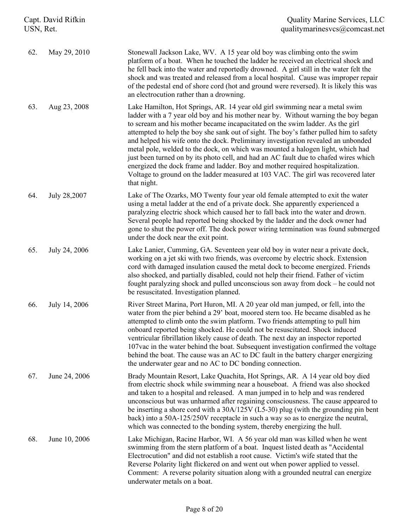| Capt. David Rifkin<br>USN, Ret. |               | <b>Quality Marine Services, LLC</b><br>qualitymarinesvcs@comcast.net                                                                                                                                                                                                                                                                                                                                                                                                                                                                                                                                                                                                                                                                                                                              |
|---------------------------------|---------------|---------------------------------------------------------------------------------------------------------------------------------------------------------------------------------------------------------------------------------------------------------------------------------------------------------------------------------------------------------------------------------------------------------------------------------------------------------------------------------------------------------------------------------------------------------------------------------------------------------------------------------------------------------------------------------------------------------------------------------------------------------------------------------------------------|
| 62.                             | May 29, 2010  | Stonewall Jackson Lake, WV. A 15 year old boy was climbing onto the swim<br>platform of a boat. When he touched the ladder he received an electrical shock and<br>he fell back into the water and reportedly drowned. A girl still in the water felt the<br>shock and was treated and released from a local hospital. Cause was improper repair<br>of the pedestal end of shore cord (hot and ground were reversed). It is likely this was<br>an electrocution rather than a drowning.                                                                                                                                                                                                                                                                                                            |
| 63.                             | Aug 23, 2008  | Lake Hamilton, Hot Springs, AR. 14 year old girl swimming near a metal swim<br>ladder with a 7 year old boy and his mother near by. Without warning the boy began<br>to scream and his mother became incapacitated on the swim ladder. As the girl<br>attempted to help the boy she sank out of sight. The boy's father pulled him to safety<br>and helped his wife onto the dock. Preliminary investigation revealed an unbonded<br>metal pole, welded to the dock, on which was mounted a halogen light, which had<br>just been turned on by its photo cell, and had an AC fault due to chafed wires which<br>energized the dock frame and ladder. Boy and mother required hospitalization.<br>Voltage to ground on the ladder measured at 103 VAC. The girl was recovered later<br>that night. |
| 64.                             | July 28,2007  | Lake of The Ozarks, MO Twenty four year old female attempted to exit the water<br>using a metal ladder at the end of a private dock. She apparently experienced a<br>paralyzing electric shock which caused her to fall back into the water and drown.<br>Several people had reported being shocked by the ladder and the dock owner had<br>gone to shut the power off. The dock power wiring termination was found submerged<br>under the dock near the exit point.                                                                                                                                                                                                                                                                                                                              |
| 65.                             | July 24, 2006 | Lake Lanier, Cumming, GA. Seventeen year old boy in water near a private dock,<br>working on a jet ski with two friends, was overcome by electric shock. Extension<br>cord with damaged insulation caused the metal dock to become energized. Friends<br>also shocked, and partially disabled, could not help their friend. Father of victim<br>fought paralyzing shock and pulled unconscious son away from dock – he could not<br>be resuscitated. Investigation planned.                                                                                                                                                                                                                                                                                                                       |
| 66.                             | July 14, 2006 | River Street Marina, Port Huron, MI. A 20 year old man jumped, or fell, into the<br>water from the pier behind a 29' boat, moored stern too. He became disabled as he<br>attempted to climb onto the swim platform. Two friends attempting to pull him<br>onboard reported being shocked. He could not be resuscitated. Shock induced<br>ventricular fibrillation likely cause of death. The next day an inspector reported<br>107vac in the water behind the boat. Subsequent investigation confirmed the voltage<br>behind the boat. The cause was an AC to DC fault in the battery charger energizing<br>the underwater gear and no AC to DC bonding connection.                                                                                                                               |
| 67.                             | June 24, 2006 | Brady Mountain Resort, Lake Quachita, Hot Springs, AR. A 14 year old boy died<br>from electric shock while swimming near a houseboat. A friend was also shocked<br>and taken to a hospital and released. A man jumped in to help and was rendered<br>unconscious but was unharmed after regaining consciousness. The cause appeared to<br>be inserting a shore cord with a $30A/125V$ (L5-30) plug (with the grounding pin bent<br>back) into a 50A-125/250V receptacle in such a way so as to energize the neutral,<br>which was connected to the bonding system, thereby energizing the hull.                                                                                                                                                                                                   |
| 68.                             | June 10, 2006 | Lake Michigan, Racine Harbor, WI. A 56 year old man was killed when he went<br>swimming from the stern platform of a boat. Inquest listed death as "Accidental<br>Electrocution" and did not establish a root cause. Victim's wife stated that the<br>Reverse Polarity light flickered on and went out when power applied to vessel.<br>Comment: A reverse polarity situation along with a grounded neutral can energize<br>underwater metals on a boat.                                                                                                                                                                                                                                                                                                                                          |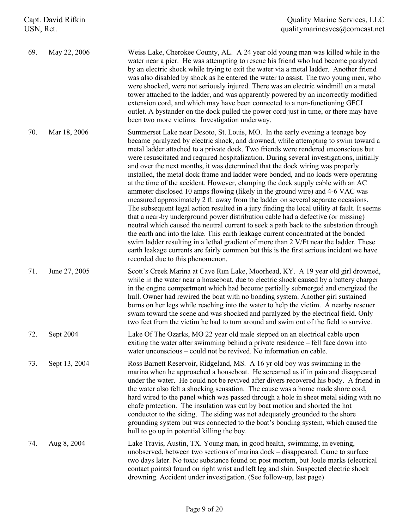| Capt. David Rifkin<br>USN, Ret. |               | <b>Quality Marine Services, LLC</b><br>qualitymarinesvcs@comcast.net                                                                                                                                                                                                                                                                                                                                                                                                                                                                                                                                                                                                                                                                                                                                                                                                                                                                                                                                                                                                                                                                                                                                                                                                                                                                                                             |  |
|---------------------------------|---------------|----------------------------------------------------------------------------------------------------------------------------------------------------------------------------------------------------------------------------------------------------------------------------------------------------------------------------------------------------------------------------------------------------------------------------------------------------------------------------------------------------------------------------------------------------------------------------------------------------------------------------------------------------------------------------------------------------------------------------------------------------------------------------------------------------------------------------------------------------------------------------------------------------------------------------------------------------------------------------------------------------------------------------------------------------------------------------------------------------------------------------------------------------------------------------------------------------------------------------------------------------------------------------------------------------------------------------------------------------------------------------------|--|
| 69.                             | May 22, 2006  | Weiss Lake, Cherokee County, AL. A 24 year old young man was killed while in the<br>water near a pier. He was attempting to rescue his friend who had become paralyzed<br>by an electric shock while trying to exit the water via a metal ladder. Another friend<br>was also disabled by shock as he entered the water to assist. The two young men, who<br>were shocked, were not seriously injured. There was an electric windmill on a metal<br>tower attached to the ladder, and was apparently powered by an incorrectly modified<br>extension cord, and which may have been connected to a non-functioning GFCI<br>outlet. A bystander on the dock pulled the power cord just in time, or there may have<br>been two more victims. Investigation underway.                                                                                                                                                                                                                                                                                                                                                                                                                                                                                                                                                                                                                 |  |
| 70.                             | Mar 18, 2006  | Summerset Lake near Desoto, St. Louis, MO. In the early evening a teenage boy<br>became paralyzed by electric shock, and drowned, while attempting to swim toward a<br>metal ladder attached to a private dock. Two friends were rendered unconscious but<br>were resuscitated and required hospitalization. During several investigations, initially<br>and over the next months, it was determined that the dock wiring was properly<br>installed, the metal dock frame and ladder were bonded, and no loads were operating<br>at the time of the accident. However, clamping the dock supply cable with an AC<br>ammeter disclosed 10 amps flowing (likely in the ground wire) and 4-6 VAC was<br>measured approximately 2 ft. away from the ladder on several separate occasions.<br>The subsequent legal action resulted in a jury finding the local utility at fault. It seems<br>that a near-by underground power distribution cable had a defective (or missing)<br>neutral which caused the neutral current to seek a path back to the substation through<br>the earth and into the lake. This earth leakage current concentrated at the bonded<br>swim ladder resulting in a lethal gradient of more than 2 V/Ft near the ladder. These<br>earth leakage currents are fairly common but this is the first serious incident we have<br>recorded due to this phenomenon. |  |
| 71.                             | June 27, 2005 | Scott's Creek Marina at Cave Run Lake, Moorhead, KY. A 19 year old girl drowned,<br>while in the water near a houseboat, due to electric shock caused by a battery charger<br>in the engine compartment which had become partially submerged and energized the<br>hull. Owner had rewired the boat with no bonding system. Another girl sustained<br>burns on her legs while reaching into the water to help the victim. A nearby rescuer<br>swam toward the scene and was shocked and paralyzed by the electrical field. Only<br>two feet from the victim he had to turn around and swim out of the field to survive.                                                                                                                                                                                                                                                                                                                                                                                                                                                                                                                                                                                                                                                                                                                                                           |  |
| 72.                             | Sept 2004     | Lake Of The Ozarks, MO 22 year old male stepped on an electrical cable upon<br>exiting the water after swimming behind a private residence – fell face down into<br>water unconscious – could not be revived. No information on cable.                                                                                                                                                                                                                                                                                                                                                                                                                                                                                                                                                                                                                                                                                                                                                                                                                                                                                                                                                                                                                                                                                                                                           |  |
| 73.                             | Sept 13, 2004 | Ross Barnett Reservoir, Ridgeland, MS. A 16 yr old boy was swimming in the<br>marina when he approached a houseboat. He screamed as if in pain and disappeared<br>under the water. He could not be revived after divers recovered his body. A friend in<br>the water also felt a shocking sensation. The cause was a home made shore cord,<br>hard wired to the panel which was passed through a hole in sheet metal siding with no<br>chafe protection. The insulation was cut by boat motion and shorted the hot<br>conductor to the siding. The siding was not adequately grounded to the shore<br>grounding system but was connected to the boat's bonding system, which caused the<br>hull to go up in potential killing the boy.                                                                                                                                                                                                                                                                                                                                                                                                                                                                                                                                                                                                                                           |  |
| 74.                             | Aug 8, 2004   | Lake Travis, Austin, TX. Young man, in good health, swimming, in evening,<br>unobserved, between two sections of marina dock – disappeared. Came to surface<br>two days later. No toxic substance found on post mortem, but Joule marks (electrical<br>contact points) found on right wrist and left leg and shin. Suspected electric shock<br>drowning. Accident under investigation. (See follow-up, last page)                                                                                                                                                                                                                                                                                                                                                                                                                                                                                                                                                                                                                                                                                                                                                                                                                                                                                                                                                                |  |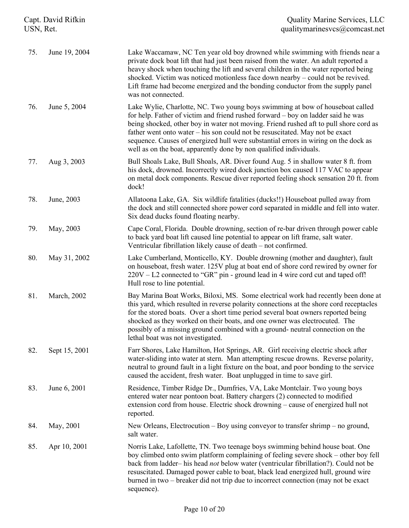| Capt. David Rifkin<br>USN, Ret. |               | <b>Quality Marine Services, LLC</b><br>qualitymarinesvcs@comcast.net                                                                                                                                                                                                                                                                                                                                                                                                                                    |
|---------------------------------|---------------|---------------------------------------------------------------------------------------------------------------------------------------------------------------------------------------------------------------------------------------------------------------------------------------------------------------------------------------------------------------------------------------------------------------------------------------------------------------------------------------------------------|
| 75.                             | June 19, 2004 | Lake Waccamaw, NC Ten year old boy drowned while swimming with friends near a<br>private dock boat lift that had just been raised from the water. An adult reported a<br>heavy shock when touching the lift and several children in the water reported being<br>shocked. Victim was noticed motionless face down nearby – could not be revived.<br>Lift frame had become energized and the bonding conductor from the supply panel<br>was not connected.                                                |
| 76.                             | June 5, 2004  | Lake Wylie, Charlotte, NC. Two young boys swimming at bow of houseboat called<br>for help. Father of victim and friend rushed forward - boy on ladder said he was<br>being shocked, other boy in water not moving. Friend rushed aft to pull shore cord as<br>father went onto water – his son could not be resuscitated. May not be exact<br>sequence. Causes of energized hull were substantial errors in wiring on the dock as<br>well as on the boat, apparently done by non qualified individuals. |
| 77.                             | Aug 3, 2003   | Bull Shoals Lake, Bull Shoals, AR. Diver found Aug. 5 in shallow water 8 ft. from<br>his dock, drowned. Incorrectly wired dock junction box caused 117 VAC to appear<br>on metal dock components. Rescue diver reported feeling shock sensation 20 ft. from<br>dock!                                                                                                                                                                                                                                    |
| 78.                             | June, 2003    | Allatoona Lake, GA. Six wildlife fatalities (ducks!!) Houseboat pulled away from<br>the dock and still connected shore power cord separated in middle and fell into water.<br>Six dead ducks found floating nearby.                                                                                                                                                                                                                                                                                     |
| 79.                             | May, 2003     | Cape Coral, Florida. Double drowning, section of re-bar driven through power cable<br>to back yard boat lift caused line potential to appear on lift frame, salt water.<br>Ventricular fibrillation likely cause of death - not confirmed.                                                                                                                                                                                                                                                              |
| 80.                             | May 31, 2002  | Lake Cumberland, Monticello, KY. Double drowning (mother and daughter), fault<br>on houseboat, fresh water. 125V plug at boat end of shore cord rewired by owner for<br>$220V - L2$ connected to "GR" pin - ground lead in 4 wire cord cut and taped off!<br>Hull rose to line potential.                                                                                                                                                                                                               |
| 81.                             | March, 2002   | Bay Marina Boat Works, Biloxi, MS. Some electrical work had recently been done at<br>this yard, which resulted in reverse polarity connections at the shore cord receptacles<br>for the stored boats. Over a short time period several boat owners reported being<br>shocked as they worked on their boats, and one owner was electrocuted. The<br>possibly of a missing ground combined with a ground- neutral connection on the<br>lethal boat was not investigated.                                  |
| 82.                             | Sept 15, 2001 | Farr Shores, Lake Hamilton, Hot Springs, AR. Girl receiving electric shock after<br>water-sliding into water at stern. Man attempting rescue drowns. Reverse polarity,<br>neutral to ground fault in a light fixture on the boat, and poor bonding to the service<br>caused the accident, fresh water. Boat unplugged in time to save girl.                                                                                                                                                             |
| 83.                             | June 6, 2001  | Residence, Timber Ridge Dr., Dumfries, VA, Lake Montclair. Two young boys<br>entered water near pontoon boat. Battery chargers (2) connected to modified<br>extension cord from house. Electric shock drowning – cause of energized hull not<br>reported.                                                                                                                                                                                                                                               |
| 84.                             | May, 2001     | New Orleans, Electrocution – Boy using conveyor to transfer shrimp – no ground,<br>salt water.                                                                                                                                                                                                                                                                                                                                                                                                          |
| 85.                             | Apr 10, 2001  | Norris Lake, Lafollette, TN. Two teenage boys swimming behind house boat. One<br>boy climbed onto swim platform complaining of feeling severe shock – other boy fell<br>back from ladder-his head not below water (ventricular fibrillation?). Could not be<br>resuscitated. Damaged power cable to boat, black lead energized hull, ground wire<br>burned in two – breaker did not trip due to incorrect connection (may not be exact<br>sequence).                                                    |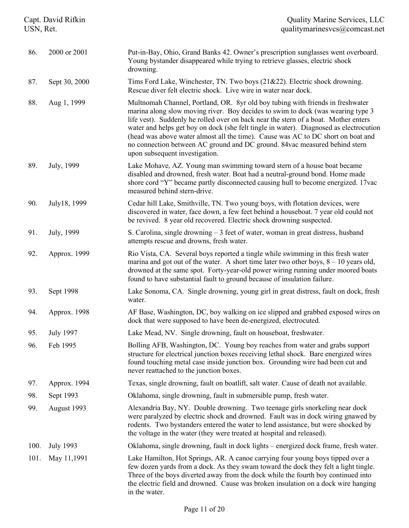| Capt. David Rifkin<br>USN, Ret. |                  | <b>Quality Marine Services, LLC</b><br>qualitymarinesvcs@comcast.net                                                                                                                                                                                                                                                                                                                                                                                                                                                                                   |
|---------------------------------|------------------|--------------------------------------------------------------------------------------------------------------------------------------------------------------------------------------------------------------------------------------------------------------------------------------------------------------------------------------------------------------------------------------------------------------------------------------------------------------------------------------------------------------------------------------------------------|
| 86.                             | 2000 or 2001     | Put-in-Bay, Ohio, Grand Banks 42. Owner's prescription sunglasses went overboard.<br>Young bystander disappeared while trying to retrieve glasses, electric shock<br>drowning.                                                                                                                                                                                                                                                                                                                                                                         |
| 87.                             | Sept 30, 2000    | Tims Ford Lake, Winchester, TN. Two boys (21&22). Electric shock drowning.<br>Rescue diver felt electric shock. Live wire in water near dock.                                                                                                                                                                                                                                                                                                                                                                                                          |
| 88.                             | Aug 1, 1999      | Multnomah Channel, Portland, OR. 8yr old boy tubing with friends in freshwater<br>marina along slow moving river. Boy decides to swim to dock (was wearing type 3<br>life vest). Suddenly he rolled over on back near the stern of a boat. Mother enters<br>water and helps get boy on dock (she felt tingle in water). Diagnosed as electrocution<br>(head was above water almost all the time). Cause was AC to DC short on boat and<br>no connection between AC ground and DC ground. 84vac measured behind stern<br>upon subsequent investigation. |
| 89.                             | July, 1999       | Lake Mohave, AZ. Young man swimming toward stern of a house boat became<br>disabled and drowned, fresh water. Boat had a neutral-ground bond. Home made<br>shore cord "Y" became partly disconnected causing hull to become energized. 17 vac<br>measured behind stern-drive.                                                                                                                                                                                                                                                                          |
| 90.                             | July18, 1999     | Cedar hill Lake, Smithville, TN. Two young boys, with flotation devices, were<br>discovered in water, face down, a few feet behind a houseboat. 7 year old could not<br>be revived. 8 year old recovered. Electric shock drowning suspected.                                                                                                                                                                                                                                                                                                           |
| 91.                             | July, 1999       | S. Carolina, single drowning $-3$ feet of water, woman in great distress, husband<br>attempts rescue and drowns, fresh water.                                                                                                                                                                                                                                                                                                                                                                                                                          |
| 92.                             | Approx. 1999     | Rio Vista, CA. Several boys reported a tingle while swimming in this fresh water<br>marina and got out of the water. A short time later two other boys, $8 - 10$ years old,<br>drowned at the same spot. Forty-year-old power wiring running under moored boats<br>found to have substantial fault to ground because of insulation failure.                                                                                                                                                                                                            |
| 93.                             | Sept 1998        | Lake Sonoma, CA. Single drowning, young girl in great distress, fault on dock, fresh<br>water.                                                                                                                                                                                                                                                                                                                                                                                                                                                         |
| 94.                             | Approx. 1998     | AF Base, Washington, DC, boy walking on ice slipped and grabbed exposed wires on<br>dock that were supposed to have been de-energized, electrocuted.                                                                                                                                                                                                                                                                                                                                                                                                   |
| 95.                             | <b>July 1997</b> | Lake Mead, NV. Single drowning, fault on houseboat, freshwater.                                                                                                                                                                                                                                                                                                                                                                                                                                                                                        |
| 96.                             | Feb 1995         | Bolling AFB, Washington, DC. Young boy reaches from water and grabs support<br>structure for electrical junction boxes receiving lethal shock. Bare energized wires<br>found touching metal case inside junction box. Grounding wire had been cut and<br>never reattached to the junction boxes.                                                                                                                                                                                                                                                       |
| 97.                             | Approx. 1994     | Texas, single drowning, fault on boatlift, salt water. Cause of death not available.                                                                                                                                                                                                                                                                                                                                                                                                                                                                   |
| 98.                             | Sept 1993        | Oklahoma, single drowning, fault in submersible pump, fresh water.                                                                                                                                                                                                                                                                                                                                                                                                                                                                                     |
| 99.                             | August 1993      | Alexandria Bay, NY. Double drowning. Two teenage girls snorkeling near dock<br>were paralyzed by electric shock and drowned. Fault was in dock wiring gnawed by<br>rodents. Two bystanders entered the water to lend assistance, but were shocked by<br>the voltage in the water (they were treated at hospital and released).                                                                                                                                                                                                                         |
| 100.                            | <b>July 1993</b> | Oklahoma, single drowning, fault in dock lights - energized dock frame, fresh water.                                                                                                                                                                                                                                                                                                                                                                                                                                                                   |
| 101.                            | May 11,1991      | Lake Hamilton, Hot Springs, AR. A canoe carrying four young boys tipped over a<br>few dozen yards from a dock. As they swam toward the dock they felt a light tingle.<br>Three of the boys diverted away from the dock while the fourth boy continued into<br>the electric field and drowned. Cause was broken insulation on a dock wire hanging<br>in the water.                                                                                                                                                                                      |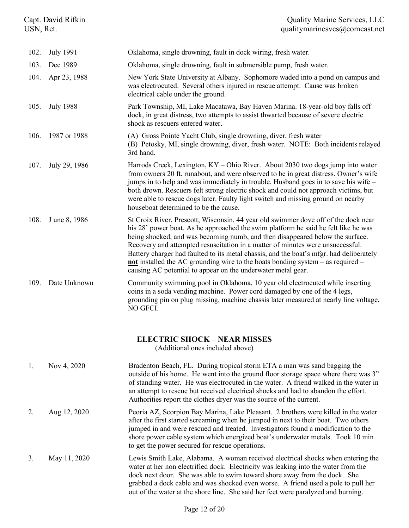| Capt. David Rifkin<br>USN, Ret. |                  | <b>Quality Marine Services, LLC</b><br>qualitymarinesvcs@comcast.net                                                                                                                                                                                                                                                                                                                                                                                                                                                                                                                          |  |
|---------------------------------|------------------|-----------------------------------------------------------------------------------------------------------------------------------------------------------------------------------------------------------------------------------------------------------------------------------------------------------------------------------------------------------------------------------------------------------------------------------------------------------------------------------------------------------------------------------------------------------------------------------------------|--|
| 102.                            | <b>July 1991</b> | Oklahoma, single drowning, fault in dock wiring, fresh water.                                                                                                                                                                                                                                                                                                                                                                                                                                                                                                                                 |  |
| 103.                            | Dec 1989         | Oklahoma, single drowning, fault in submersible pump, fresh water.                                                                                                                                                                                                                                                                                                                                                                                                                                                                                                                            |  |
| 104.                            | Apr 23, 1988     | New York State University at Albany. Sophomore waded into a pond on campus and<br>was electrocuted. Several others injured in rescue attempt. Cause was broken<br>electrical cable under the ground.                                                                                                                                                                                                                                                                                                                                                                                          |  |
| 105.                            | <b>July 1988</b> | Park Township, MI, Lake Macatawa, Bay Haven Marina. 18-year-old boy falls off<br>dock, in great distress, two attempts to assist thwarted because of severe electric<br>shock as rescuers entered water.                                                                                                                                                                                                                                                                                                                                                                                      |  |
| 106.                            | 1987 or 1988     | (A) Gross Pointe Yacht Club, single drowning, diver, fresh water<br>(B) Petosky, MI, single drowning, diver, fresh water. NOTE: Both incidents relayed<br>3rd hand.                                                                                                                                                                                                                                                                                                                                                                                                                           |  |
| 107.                            | July 29, 1986    | Harrods Creek, Lexington, KY - Ohio River. About 2030 two dogs jump into water<br>from owners 20 ft. runabout, and were observed to be in great distress. Owner's wife<br>jumps in to help and was immediately in trouble. Husband goes in to save his wife -<br>both drown. Rescuers felt strong electric shock and could not approach victims, but<br>were able to rescue dogs later. Faulty light switch and missing ground on nearby<br>houseboat determined to be the cause.                                                                                                             |  |
| 108.                            | J une 8, 1986    | St Croix River, Prescott, Wisconsin. 44 year old swimmer dove off of the dock near<br>his 28' power boat. As he approached the swim platform he said he felt like he was<br>being shocked, and was becoming numb, and then disappeared below the surface.<br>Recovery and attempted resuscitation in a matter of minutes were unsuccessful.<br>Battery charger had faulted to its metal chassis, and the boat's mfgr. had deliberately<br>not installed the AC grounding wire to the boats bonding system $-$ as required $-$<br>causing AC potential to appear on the underwater metal gear. |  |
| 109.                            | Date Unknown     | Community swimming pool in Oklahoma, 10 year old electrocuted while inserting<br>coins in a soda vending machine. Power cord damaged by one of the 4 legs,<br>grounding pin on plug missing, machine chassis later measured at nearly line voltage,<br>NO GFCI.                                                                                                                                                                                                                                                                                                                               |  |
|                                 |                  | <b>ELECTRIC SHOCK - NEAR MISSES</b><br>(Additional ones included above)                                                                                                                                                                                                                                                                                                                                                                                                                                                                                                                       |  |
| 1.                              | Nov 4, 2020      | Bradenton Beach, FL. During tropical storm ETA a man was sand bagging the<br>outside of his home. He went into the ground floor storage space where there was 3"<br>of standing water. He was electrocuted in the water. A friend walked in the water in<br>an attempt to rescue but received electrical shocks and had to abandon the effort.<br>Authorities report the clothes dryer was the source of the current.                                                                                                                                                                         |  |
| 2.                              | Aug 12, 2020     | Peoria AZ, Scorpion Bay Marina, Lake Pleasant. 2 brothers were killed in the water<br>after the first started screaming when he jumped in next to their boat. Two others<br>jumped in and were rescued and treated. Investigators found a modification to the                                                                                                                                                                                                                                                                                                                                 |  |

3. May 11, 2020 Lewis Smith Lake, Alabama. A woman received electrical shocks when entering the water at her non electrified dock. Electricity was leaking into the water from the dock next door. She was able to swim toward shore away from the dock. She grabbed a dock cable and was shocked even worse. A friend used a pole to pull her out of the water at the shore line. She said her feet were paralyzed and burning.

to get the power secured for rescue operations.

shore power cable system which energized boat's underwater metals. Took 10 min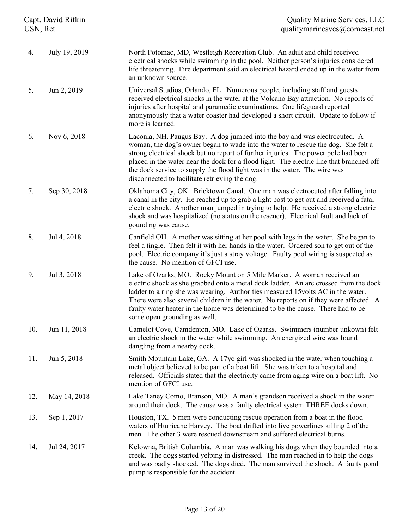| Capt. David Rifkin<br>USN, Ret. |               | <b>Quality Marine Services, LLC</b><br>qualitymarinesvcs@comcast.net                                                                                                                                                                                                                                                                                                                                                                                                             |  |
|---------------------------------|---------------|----------------------------------------------------------------------------------------------------------------------------------------------------------------------------------------------------------------------------------------------------------------------------------------------------------------------------------------------------------------------------------------------------------------------------------------------------------------------------------|--|
| 4.                              | July 19, 2019 | North Potomac, MD, Westleigh Recreation Club. An adult and child received<br>electrical shocks while swimming in the pool. Neither person's injuries considered<br>life threatening. Fire department said an electrical hazard ended up in the water from<br>an unknown source.                                                                                                                                                                                                  |  |
| 5.                              | Jun 2, 2019   | Universal Studios, Orlando, FL. Numerous people, including staff and guests<br>received electrical shocks in the water at the Volcano Bay attraction. No reports of<br>injuries after hospital and paramedic examinations. One lifeguard reported<br>anonymously that a water coaster had developed a short circuit. Update to follow if<br>more is learned.                                                                                                                     |  |
| 6.                              | Nov 6, 2018   | Laconia, NH. Paugus Bay. A dog jumped into the bay and was electrocuted. A<br>woman, the dog's owner began to wade into the water to rescue the dog. She felt a<br>strong electrical shock but no report of further injuries. The power pole had been<br>placed in the water near the dock for a flood light. The electric line that branched off<br>the dock service to supply the flood light was in the water. The wire was<br>disconnected to facilitate retrieving the dog. |  |
| 7.                              | Sep 30, 2018  | Oklahoma City, OK. Bricktown Canal. One man was electrocuted after falling into<br>a canal in the city. He reached up to grab a light post to get out and received a fatal<br>electric shock. Another man jumped in trying to help. He received a strong electric<br>shock and was hospitalized (no status on the rescuer). Electrical fault and lack of<br>gounding was cause.                                                                                                  |  |
| 8.                              | Jul 4, 2018   | Canfield OH. A mother was sitting at her pool with legs in the water. She began to<br>feel a tingle. Then felt it with her hands in the water. Ordered son to get out of the<br>pool. Electric company it's just a stray voltage. Faulty pool wiring is suspected as<br>the cause. No mention of GFCI use.                                                                                                                                                                       |  |
| 9.                              | Jul 3, 2018   | Lake of Ozarks, MO. Rocky Mount on 5 Mile Marker. A woman received an<br>electric shock as she grabbed onto a metal dock ladder. An arc crossed from the dock<br>ladder to a ring she was wearing. Authorities measured 15 volts AC in the water.<br>There were also several children in the water. No reports on if they were affected. A<br>faulty water heater in the home was determined to be the cause. There had to be<br>some open grounding as well.                    |  |
| 10.                             | Jun 11, 2018  | Camelot Cove, Camdenton, MO. Lake of Ozarks. Swimmers (number unkown) felt<br>an electric shock in the water while swimming. An energized wire was found<br>dangling from a nearby dock.                                                                                                                                                                                                                                                                                         |  |
| 11.                             | Jun 5, 2018   | Smith Mountain Lake, GA. A 17yo girl was shocked in the water when touching a<br>metal object believed to be part of a boat lift. She was taken to a hospital and<br>released. Officials stated that the electricity came from aging wire on a boat lift. No<br>mention of GFCI use.                                                                                                                                                                                             |  |
| 12.                             | May 14, 2018  | Lake Taney Como, Branson, MO. A man's grandson received a shock in the water<br>around their dock. The cause was a faulty electrical system THREE docks down.                                                                                                                                                                                                                                                                                                                    |  |
| 13.                             | Sep 1, 2017   | Houston, TX. 5 men were conducting rescue operation from a boat in the flood<br>waters of Hurricane Harvey. The boat drifted into live powerlines killing 2 of the<br>men. The other 3 were rescued downstream and suffered electrical burns.                                                                                                                                                                                                                                    |  |
| 14.                             | Jul 24, 2017  | Kelowna, British Columbia. A man was walking his dogs when they bounded into a<br>creek. The dogs started yelping in distressed. The man reached in to help the dogs<br>and was badly shocked. The dogs died. The man survived the shock. A faulty pond<br>pump is responsible for the accident.                                                                                                                                                                                 |  |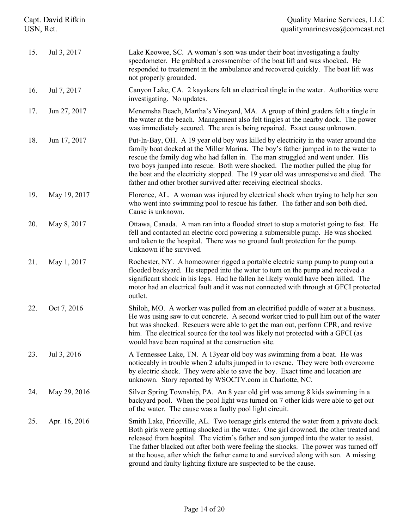| Capt. David Rifkin<br>USN, Ret. |               | <b>Quality Marine Services, LLC</b><br>qualitymarinesvcs@comcast.net                                                                                                                                                                                                                                                                                                                                                                                                                                                     |  |
|---------------------------------|---------------|--------------------------------------------------------------------------------------------------------------------------------------------------------------------------------------------------------------------------------------------------------------------------------------------------------------------------------------------------------------------------------------------------------------------------------------------------------------------------------------------------------------------------|--|
| 15.                             | Jul 3, 2017   | Lake Keowee, SC. A woman's son was under their boat investigating a faulty<br>speedometer. He grabbed a crossmember of the boat lift and was shocked. He<br>responded to treatement in the ambulance and recovered quickly. The boat lift was<br>not properly grounded.                                                                                                                                                                                                                                                  |  |
| 16.                             | Jul 7, 2017   | Canyon Lake, CA. 2 kayakers felt an electrical tingle in the water. Authorities were<br>investigating. No updates.                                                                                                                                                                                                                                                                                                                                                                                                       |  |
| 17.                             | Jun 27, 2017  | Menemsha Beach, Martha's Vineyard, MA. A group of third graders felt a tingle in<br>the water at the beach. Management also felt tingles at the nearby dock. The power<br>was immediately secured. The area is being repaired. Exact cause unknown.                                                                                                                                                                                                                                                                      |  |
| 18.                             | Jun 17, 2017  | Put-In-Bay, OH. A 19 year old boy was killed by electricity in the water around the<br>family boat docked at the Miller Marina. The boy's father jumped in to the water to<br>rescue the family dog who had fallen in. The man struggled and went under. His<br>two boys jumped into rescue. Both were shocked. The mother pulled the plug for<br>the boat and the electricity stopped. The 19 year old was unresponsive and died. The<br>father and other brother survived after receiving electrical shocks.           |  |
| 19.                             | May 19, 2017  | Florence, AL. A woman was injured by electrical shock when trying to help her son<br>who went into swimming pool to rescue his father. The father and son both died.<br>Cause is unknown.                                                                                                                                                                                                                                                                                                                                |  |
| 20.                             | May 8, 2017   | Ottawa, Canada. A man ran into a flooded street to stop a motorist going to fast. He<br>fell and contacted an electric cord powering a submersible pump. He was shocked<br>and taken to the hospital. There was no ground fault protection for the pump.<br>Unknown if he survived.                                                                                                                                                                                                                                      |  |
| 21.                             | May 1, 2017   | Rochester, NY. A homeowner rigged a portable electric sump pump to pump out a<br>flooded backyard. He stepped into the water to turn on the pump and received a<br>significant shock in his legs. Had he fallen he likely would have been killed. The<br>motor had an electrical fault and it was not connected with through at GFCI protected<br>outlet.                                                                                                                                                                |  |
| 22.                             | Oct 7, 2016   | Shiloh, MO. A worker was pulled from an electrified puddle of water at a business.<br>He was using saw to cut concrete. A second worker tried to pull him out of the water<br>but was shocked. Rescuers were able to get the man out, perform CPR, and revive<br>him. The electrical source for the tool was likely not protected with a GFCI (as<br>would have been required at the construction site.                                                                                                                  |  |
| 23.                             | Jul 3, 2016   | A Tennessee Lake, TN. A 13year old boy was swimming from a boat. He was<br>noticeably in trouble when 2 adults jumped in to rescue. They were both overcome<br>by electric shock. They were able to save the boy. Exact time and location are<br>unknown. Story reported by WSOCTV.com in Charlotte, NC.                                                                                                                                                                                                                 |  |
| 24.                             | May 29, 2016  | Silver Spring Township, PA. An 8 year old girl was among 8 kids swimming in a<br>backyard pool. When the pool light was turned on 7 other kids were able to get out<br>of the water. The cause was a faulty pool light circuit.                                                                                                                                                                                                                                                                                          |  |
| 25.                             | Apr. 16, 2016 | Smith Lake, Priceville, AL. Two teenage girls entered the water from a private dock.<br>Both girls were getting shocked in the water. One girl drowned, the other treated and<br>released from hospital. The victim's father and son jumped into the water to assist.<br>The father blacked out after both were feeling the shocks. The power was turned off<br>at the house, after which the father came to and survived along with son. A missing<br>ground and faulty lighting fixture are suspected to be the cause. |  |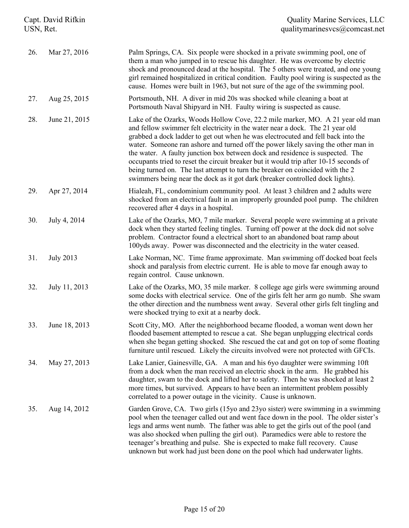| Capt. David Rifkin<br>USN, Ret. |                  | <b>Quality Marine Services, LLC</b><br>qualitymarinesvcs@comcast.net                                                                                                                                                                                                                                                                                                                                                                                                                                                                                                                                                                                                                 |  |
|---------------------------------|------------------|--------------------------------------------------------------------------------------------------------------------------------------------------------------------------------------------------------------------------------------------------------------------------------------------------------------------------------------------------------------------------------------------------------------------------------------------------------------------------------------------------------------------------------------------------------------------------------------------------------------------------------------------------------------------------------------|--|
| 26.                             | Mar 27, 2016     | Palm Springs, CA. Six people were shocked in a private swimming pool, one of<br>them a man who jumped in to rescue his daughter. He was overcome by electric<br>shock and pronounced dead at the hospital. The 5 others were treated, and one young<br>girl remained hospitalized in critical condition. Faulty pool wiring is suspected as the<br>cause. Homes were built in 1963, but not sure of the age of the swimming pool.                                                                                                                                                                                                                                                    |  |
| 27.                             | Aug 25, 2015     | Portsmouth, NH. A diver in mid 20s was shocked while cleaning a boat at<br>Portsmouth Naval Shipyard in NH. Faulty wiring is suspected as cause.                                                                                                                                                                                                                                                                                                                                                                                                                                                                                                                                     |  |
| 28.                             | June 21, 2015    | Lake of the Ozarks, Woods Hollow Cove, 22.2 mile marker, MO. A 21 year old man<br>and fellow swimmer felt electricity in the water near a dock. The 21 year old<br>grabbed a dock ladder to get out when he was electrocuted and fell back into the<br>water. Someone ran ashore and turned off the power likely saving the other man in<br>the water. A faulty junction box between dock and residence is suspected. The<br>occupants tried to reset the circuit breaker but it would trip after 10-15 seconds of<br>being turned on. The last attempt to turn the breaker on coincided with the 2<br>swimmers being near the dock as it got dark (breaker controlled dock lights). |  |
| 29.                             | Apr 27, 2014     | Hialeah, FL, condominium community pool. At least 3 children and 2 adults were<br>shocked from an electrical fault in an improperly grounded pool pump. The children<br>recovered after 4 days in a hospital.                                                                                                                                                                                                                                                                                                                                                                                                                                                                        |  |
| 30.                             | July 4, 2014     | Lake of the Ozarks, MO, 7 mile marker. Several people were swimming at a private<br>dock when they started feeling tingles. Turning off power at the dock did not solve<br>problem. Contractor found a electrical short to an abandoned boat ramp about<br>100yds away. Power was disconnected and the electricity in the water ceased.                                                                                                                                                                                                                                                                                                                                              |  |
| 31.                             | <b>July 2013</b> | Lake Norman, NC. Time frame approximate. Man swimming off docked boat feels<br>shock and paralysis from electric current. He is able to move far enough away to<br>regain control. Cause unknown.                                                                                                                                                                                                                                                                                                                                                                                                                                                                                    |  |
| 32.                             | July 11, 2013    | Lake of the Ozarks, MO, 35 mile marker. 8 college age girls were swimming around<br>some docks with electrical service. One of the girls felt her arm go numb. She swam<br>the other direction and the numbness went away. Several other girls felt tingling and<br>were shocked trying to exit at a nearby dock.                                                                                                                                                                                                                                                                                                                                                                    |  |
| 33.                             | June 18, 2013    | Scott City, MO. After the neighborhood became flooded, a woman went down her<br>flooded basement attempted to rescue a cat. She began unplugging electrical cords<br>when she began getting shocked. She rescued the cat and got on top of some floating<br>furniture until rescued. Likely the circuits involved were not protected with GFCIs.                                                                                                                                                                                                                                                                                                                                     |  |
| 34.                             | May 27, 2013     | Lake Lanier, Gainesville, GA. A man and his 6yo daughter were swimming 10ft<br>from a dock when the man received an electric shock in the arm. He grabbed his<br>daughter, swam to the dock and lifted her to safety. Then he was shocked at least 2<br>more times, but survived. Appears to have been an intermittent problem possibly<br>correlated to a power outage in the vicinity. Cause is unknown.                                                                                                                                                                                                                                                                           |  |
| 35.                             | Aug 14, 2012     | Garden Grove, CA. Two girls (15yo and 23yo sister) were swimming in a swimming<br>pool when the teenager called out and went face down in the pool. The older sister's<br>legs and arms went numb. The father was able to get the girls out of the pool (and<br>was also shocked when pulling the girl out). Paramedics were able to restore the<br>teenager's breathing and pulse. She is expected to make full recovery. Cause<br>unknown but work had just been done on the pool which had underwater lights.                                                                                                                                                                     |  |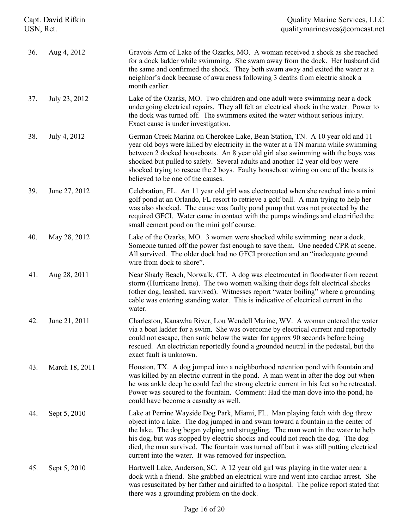| Capt. David Rifkin<br>USN, Ret. |                | <b>Quality Marine Services, LLC</b><br>qualitymarinesvcs@comcast.net                                                                                                                                                                                                                                                                                                                                                                                                                             |  |
|---------------------------------|----------------|--------------------------------------------------------------------------------------------------------------------------------------------------------------------------------------------------------------------------------------------------------------------------------------------------------------------------------------------------------------------------------------------------------------------------------------------------------------------------------------------------|--|
| 36.                             | Aug 4, 2012    | Gravois Arm of Lake of the Ozarks, MO. A woman received a shock as she reached<br>for a dock ladder while swimming. She swam away from the dock. Her husband did<br>the same and confirmed the shock. They both swam away and exited the water at a<br>neighbor's dock because of awareness following 3 deaths from electric shock a<br>month earlier.                                                                                                                                           |  |
| 37.                             | July 23, 2012  | Lake of the Ozarks, MO. Two children and one adult were swimming near a dock<br>undergoing electrical repairs. They all felt an electrical shock in the water. Power to<br>the dock was turned off. The swimmers exited the water without serious injury.<br>Exact cause is under investigation.                                                                                                                                                                                                 |  |
| 38.                             | July 4, 2012   | German Creek Marina on Cherokee Lake, Bean Station, TN. A 10 year old and 11<br>year old boys were killed by electricity in the water at a TN marina while swimming<br>between 2 docked houseboats. An 8 year old girl also swimming with the boys was<br>shocked but pulled to safety. Several adults and another 12 year old boy were<br>shocked trying to rescue the 2 boys. Faulty houseboat wiring on one of the boats is<br>believed to be one of the causes.                              |  |
| 39.                             | June 27, 2012  | Celebration, FL. An 11 year old girl was electrocuted when she reached into a mini<br>golf pond at an Orlando, FL resort to retrieve a golf ball. A man trying to help her<br>was also shocked. The cause was faulty pond pump that was not protected by the<br>required GFCI. Water came in contact with the pumps windings and electrified the<br>small cement pond on the mini golf course.                                                                                                   |  |
| 40.                             | May 28, 2012   | Lake of the Ozarks, MO. 3 women were shocked while swimming near a dock.<br>Someone turned off the power fast enough to save them. One needed CPR at scene.<br>All survived. The older dock had no GFCI protection and an "inadequate ground<br>wire from dock to shore".                                                                                                                                                                                                                        |  |
| 41.                             | Aug 28, 2011   | Near Shady Beach, Norwalk, CT. A dog was electrocuted in floodwater from recent<br>storm (Hurricane Irene). The two women walking their dogs felt electrical shocks<br>(other dog, leashed, survived). Witnesses report "water boiling" where a grounding<br>cable was entering standing water. This is indicative of electrical current in the<br>water.                                                                                                                                        |  |
| 42.                             | June 21, 2011  | Charleston, Kanawha River, Lou Wendell Marine, WV. A woman entered the water<br>via a boat ladder for a swim. She was overcome by electrical current and reportedly<br>could not escape, then sunk below the water for approx 90 seconds before being<br>rescued. An electrician reportedly found a grounded neutral in the pedestal, but the<br>exact fault is unknown.                                                                                                                         |  |
| 43.                             | March 18, 2011 | Houston, TX. A dog jumped into a neighborhood retention pond with fountain and<br>was killed by an electric current in the pond. A man went in after the dog but when<br>he was ankle deep he could feel the strong electric current in his feet so he retreated.<br>Power was secured to the fountain. Comment: Had the man dove into the pond, he<br>could have become a casualty as well.                                                                                                     |  |
| 44.                             | Sept 5, 2010   | Lake at Perrine Wayside Dog Park, Miami, FL. Man playing fetch with dog threw<br>object into a lake. The dog jumped in and swam toward a fountain in the center of<br>the lake. The dog began yelping and struggling. The man went in the water to help<br>his dog, but was stopped by electric shocks and could not reach the dog. The dog<br>died, the man survived. The fountain was turned off but it was still putting electrical<br>current into the water. It was removed for inspection. |  |
| 45.                             | Sept 5, 2010   | Hartwell Lake, Anderson, SC. A 12 year old girl was playing in the water near a<br>dock with a friend. She grabbed an electrical wire and went into cardiac arrest. She<br>was resuscitated by her father and airlifted to a hospital. The police report stated that<br>there was a grounding problem on the dock.                                                                                                                                                                               |  |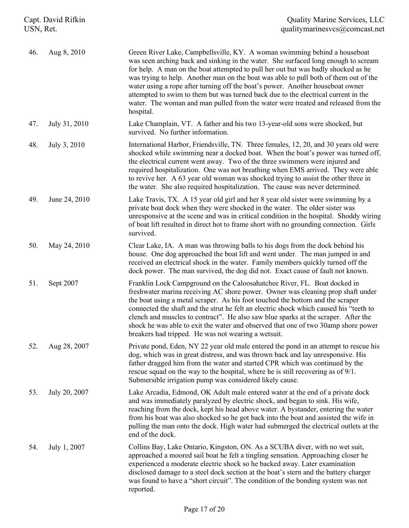| Capt. David Rifkin<br>USN, Ret. |               | <b>Quality Marine Services, LLC</b><br>qualitymarinesvcs@comcast.net                                                                                                                                                                                                                                                                                                                                                                                                                                                                                                                                                   |  |
|---------------------------------|---------------|------------------------------------------------------------------------------------------------------------------------------------------------------------------------------------------------------------------------------------------------------------------------------------------------------------------------------------------------------------------------------------------------------------------------------------------------------------------------------------------------------------------------------------------------------------------------------------------------------------------------|--|
| 46.                             | Aug 8, 2010   | Green River Lake, Campbellsville, KY. A woman swimming behind a houseboat<br>was seen arching back and sinking in the water. She surfaced long enough to scream<br>for help. A man on the boat attempted to pull her out but was badly shocked as he<br>was trying to help. Another man on the boat was able to pull both of them out of the<br>water using a rope after turning off the boat's power. Another houseboat owner<br>attempted to swim to them but was turned back due to the electrical current in the<br>water. The woman and man pulled from the water were treated and released from the<br>hospital. |  |
| 47.                             | July 31, 2010 | Lake Champlain, VT. A father and his two 13-year-old sons were shocked, but<br>survived. No further information.                                                                                                                                                                                                                                                                                                                                                                                                                                                                                                       |  |
| 48.                             | July 3, 2010  | International Harbor, Friendsville, TN. Three females, 12, 20, and 30 years old were<br>shocked while swimming near a docked boat. When the boat's power was turned off,<br>the electrical current went away. Two of the three swimmers were injured and<br>required hospitalization. One was not breathing when EMS arrived. They were able<br>to revive her. A 63 year old woman was shocked trying to assist the other three in<br>the water. She also required hospitalization. The cause was never determined.                                                                                                    |  |
| 49.                             | June 24, 2010 | Lake Travis, TX. A 15 year old girl and her 8 year old sister were swimming by a<br>private boat dock when they were shocked in the water. The older sister was<br>unresponsive at the scene and was in critical condition in the hospital. Shoddy wiring<br>of boat lift resulted in direct hot to frame short with no grounding connection. Girls<br>survived.                                                                                                                                                                                                                                                       |  |
| 50.                             | May 24, 2010  | Clear Lake, IA. A man was throwing balls to his dogs from the dock behind his<br>house. One dog approached the boat lift and went under. The man jumped in and<br>received an electrical shock in the water. Family members quickly turned off the<br>dock power. The man survived, the dog did not. Exact cause of fault not known.                                                                                                                                                                                                                                                                                   |  |
| 51.                             | Sept 2007     | Franklin Lock Campground on the Caloosahatchee River, FL. Boat docked in<br>freshwater marina receiving AC shore power. Owner was cleaning prop shaft under<br>the boat using a metal scraper. As his foot touched the bottom and the scraper<br>connected the shaft and the strut he felt an electric shock which caused his "teeth to<br>clench and muscles to contract". He also saw blue sparks at the scraper. After the<br>shock he was able to exit the water and observed that one of two 30amp shore power<br>breakers had tripped. He was not wearing a wetsuit.                                             |  |
| 52.                             | Aug 28, 2007  | Private pond, Eden, NY 22 year old male entered the pond in an attempt to rescue his<br>dog, which was in great distress, and was thrown back and lay unresponsive. His<br>father dragged him from the water and started CPR which was continued by the<br>rescue squad on the way to the hospital, where he is still recovering as of 9/1.<br>Submersible irrigation pump was considered likely cause.                                                                                                                                                                                                                |  |
| 53.                             | July 20, 2007 | Lake Arcadia, Edmond, OK Adult male entered water at the end of a private dock<br>and was immediately paralyzed by electric shock, and began to sink. His wife,<br>reaching from the dock, kept his head above water. A bystander, entering the water<br>from his boat was also shocked so he got back into the boat and assisted the wife in<br>pulling the man onto the dock. High water had submerged the electrical outlets at the<br>end of the dock.                                                                                                                                                             |  |
| 54.                             | July 1, 2007  | Collins Bay, Lake Ontario, Kingston, ON. As a SCUBA diver, with no wet suit,<br>approached a moored sail boat he felt a tingling sensation. Approaching closer he<br>experienced a moderate electric shock so he backed away. Later examination<br>disclosed damage to a steel dock section at the boat's stern and the battery charger<br>was found to have a "short circuit". The condition of the bonding system was not<br>reported.                                                                                                                                                                               |  |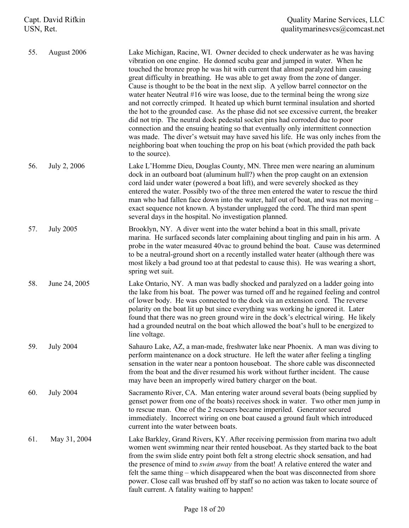| 55. | August 2006      | Lake Michigan, Racine, WI. Owner decided to check underwater as he was having<br>vibration on one engine. He donned scuba gear and jumped in water. When he<br>touched the bronze prop he was hit with current that almost paralyzed him causing<br>great difficulty in breathing. He was able to get away from the zone of danger.<br>Cause is thought to be the boat in the next slip. A yellow barrel connector on the<br>water heater Neutral #16 wire was loose, due to the terminal being the wrong size<br>and not correctly crimped. It heated up which burnt terminal insulation and shorted<br>the hot to the grounded case. As the phase did not see excessive current, the breaker<br>did not trip. The neutral dock pedestal socket pins had corroded due to poor<br>connection and the ensuing heating so that eventually only intermittent connection<br>was made. The diver's wetsuit may have saved his life. He was only inches from the<br>neighboring boat when touching the prop on his boat (which provided the path back<br>to the source). |
|-----|------------------|--------------------------------------------------------------------------------------------------------------------------------------------------------------------------------------------------------------------------------------------------------------------------------------------------------------------------------------------------------------------------------------------------------------------------------------------------------------------------------------------------------------------------------------------------------------------------------------------------------------------------------------------------------------------------------------------------------------------------------------------------------------------------------------------------------------------------------------------------------------------------------------------------------------------------------------------------------------------------------------------------------------------------------------------------------------------|
| 56. | July 2, 2006     | Lake L'Homme Dieu, Douglas County, MN. Three men were nearing an aluminum<br>dock in an outboard boat (aluminum hull?) when the prop caught on an extension<br>cord laid under water (powered a boat lift), and were severely shocked as they<br>entered the water. Possibly two of the three men entered the water to rescue the third<br>man who had fallen face down into the water, half out of boat, and was not moving -<br>exact sequence not known. A bystander unplugged the cord. The third man spent<br>several days in the hospital. No investigation planned.                                                                                                                                                                                                                                                                                                                                                                                                                                                                                         |
| 57. | <b>July 2005</b> | Brooklyn, NY. A diver went into the water behind a boat in this small, private<br>marina. He surfaced seconds later complaining about tingling and pain in his arm. A<br>probe in the water measured 40 vac to ground behind the boat. Cause was determined<br>to be a neutral-ground short on a recently installed water heater (although there was<br>most likely a bad ground too at that pedestal to cause this). He was wearing a short,<br>spring wet suit.                                                                                                                                                                                                                                                                                                                                                                                                                                                                                                                                                                                                  |
| 58. | June 24, 2005    | Lake Ontario, NY. A man was badly shocked and paralyzed on a ladder going into<br>the lake from his boat. The power was turned off and he regained feeling and control<br>of lower body. He was connected to the dock via an extension cord. The reverse<br>polarity on the boat lit up but since everything was working he ignored it. Later<br>found that there was no green ground wire in the dock's electrical wiring. He likely<br>had a grounded neutral on the boat which allowed the boat's hull to be energized to<br>line voltage.                                                                                                                                                                                                                                                                                                                                                                                                                                                                                                                      |
| 59. | <b>July 2004</b> | Sahauro Lake, AZ, a man-made, freshwater lake near Phoenix. A man was diving to<br>perform maintenance on a dock structure. He left the water after feeling a tingling<br>sensation in the water near a pontoon houseboat. The shore cable was disconnected<br>from the boat and the diver resumed his work without further incident. The cause<br>may have been an improperly wired battery charger on the boat.                                                                                                                                                                                                                                                                                                                                                                                                                                                                                                                                                                                                                                                  |
| 60. | <b>July 2004</b> | Sacramento River, CA. Man entering water around several boats (being supplied by<br>genset power from one of the boats) receives shock in water. Two other men jump in<br>to rescue man. One of the 2 rescuers became imperiled. Generator secured<br>immediately. Incorrect wiring on one boat caused a ground fault which introduced<br>current into the water between boats.                                                                                                                                                                                                                                                                                                                                                                                                                                                                                                                                                                                                                                                                                    |
| 61. | May 31, 2004     | Lake Barkley, Grand Rivers, KY. After receiving permission from marina two adult<br>women went swimming near their rented houseboat. As they started back to the boat<br>from the swim slide entry point both felt a strong electric shock sensation, and had<br>the presence of mind to <i>swim away</i> from the boat! A relative entered the water and<br>felt the same thing – which disappeared when the boat was disconnected from shore<br>power. Close call was brushed off by staff so no action was taken to locate source of<br>fault current. A fatality waiting to happen!                                                                                                                                                                                                                                                                                                                                                                                                                                                                            |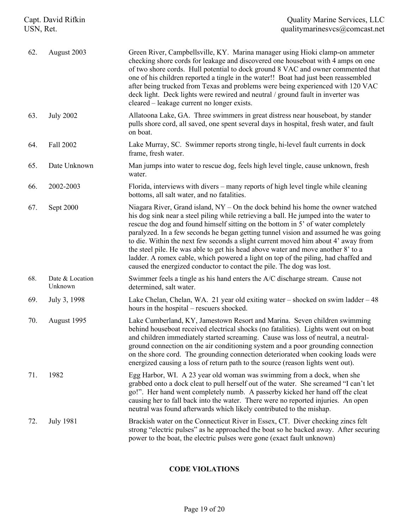| Capt. David Rifkin<br>USN, Ret. |                            | <b>Quality Marine Services, LLC</b><br>qualitymarinesvcs@comcast.net                                                                                                                                                                                                                                                                                                                                                                                                                                                                                                                                                                                                                          |  |
|---------------------------------|----------------------------|-----------------------------------------------------------------------------------------------------------------------------------------------------------------------------------------------------------------------------------------------------------------------------------------------------------------------------------------------------------------------------------------------------------------------------------------------------------------------------------------------------------------------------------------------------------------------------------------------------------------------------------------------------------------------------------------------|--|
| 62.                             | August 2003                | Green River, Campbellsville, KY. Marina manager using Hioki clamp-on ammeter<br>checking shore cords for leakage and discovered one houseboat with 4 amps on one<br>of two shore cords. Hull potential to dock ground 8 VAC and owner commented that<br>one of his children reported a tingle in the water!! Boat had just been reassembled<br>after being trucked from Texas and problems were being experienced with 120 VAC<br>deck light. Deck lights were rewired and neutral / ground fault in inverter was<br>cleared – leakage current no longer exists.                                                                                                                              |  |
| 63.                             | <b>July 2002</b>           | Allatoona Lake, GA. Three swimmers in great distress near houseboat, by stander<br>pulls shore cord, all saved, one spent several days in hospital, fresh water, and fault<br>on boat.                                                                                                                                                                                                                                                                                                                                                                                                                                                                                                        |  |
| 64.                             | Fall 2002                  | Lake Murray, SC. Swimmer reports strong tingle, hi-level fault currents in dock<br>frame, fresh water.                                                                                                                                                                                                                                                                                                                                                                                                                                                                                                                                                                                        |  |
| 65.                             | Date Unknown               | Man jumps into water to rescue dog, feels high level tingle, cause unknown, fresh<br>water.                                                                                                                                                                                                                                                                                                                                                                                                                                                                                                                                                                                                   |  |
| 66.                             | 2002-2003                  | Florida, interviews with divers – many reports of high level tingle while cleaning<br>bottoms, all salt water, and no fatalities.                                                                                                                                                                                                                                                                                                                                                                                                                                                                                                                                                             |  |
| 67.                             | Sept 2000                  | Niagara River, Grand island, $NY - On$ the dock behind his home the owner watched<br>his dog sink near a steel piling while retrieving a ball. He jumped into the water to<br>rescue the dog and found himself sitting on the bottom in 5' of water completely<br>paralyzed. In a few seconds he began getting tunnel vision and assumed he was going<br>to die. Within the next few seconds a slight current moved him about 4' away from<br>the steel pile. He was able to get his head above water and move another 8' to a<br>ladder. A romex cable, which powered a light on top of the piling, had chaffed and<br>caused the energized conductor to contact the pile. The dog was lost. |  |
| 68.                             | Date & Location<br>Unknown | Swimmer feels a tingle as his hand enters the A/C discharge stream. Cause not<br>determined, salt water.                                                                                                                                                                                                                                                                                                                                                                                                                                                                                                                                                                                      |  |
| 69.                             | July 3, 1998               | Lake Chelan, Chelan, WA. 21 year old exiting water – shocked on swim ladder $-48$<br>hours in the hospital – rescuers shocked.                                                                                                                                                                                                                                                                                                                                                                                                                                                                                                                                                                |  |
| 70.                             | August 1995                | Lake Cumberland, KY, Jamestown Resort and Marina. Seven children swimming<br>behind houseboat received electrical shocks (no fatalities). Lights went out on boat<br>and children immediately started screaming. Cause was loss of neutral, a neutral-<br>ground connection on the air conditioning system and a poor grounding connection<br>on the shore cord. The grounding connection deteriorated when cooking loads were<br>energized causing a loss of return path to the source (reason lights went out).                                                                                                                                                                             |  |
| 71.                             | 1982                       | Egg Harbor, WI. A 23 year old woman was swimming from a dock, when she<br>grabbed onto a dock cleat to pull herself out of the water. She screamed "I can't let<br>go!". Her hand went completely numb. A passerby kicked her hand off the cleat<br>causing her to fall back into the water. There were no reported injuries. An open<br>neutral was found afterwards which likely contributed to the mishap.                                                                                                                                                                                                                                                                                 |  |
| 72.                             | <b>July 1981</b>           | Brackish water on the Connecticut River in Essex, CT. Diver checking zincs felt<br>strong "electric pulses" as he approached the boat so he backed away. After securing<br>power to the boat, the electric pulses were gone (exact fault unknown)                                                                                                                                                                                                                                                                                                                                                                                                                                             |  |

## **CODE VIOLATIONS**